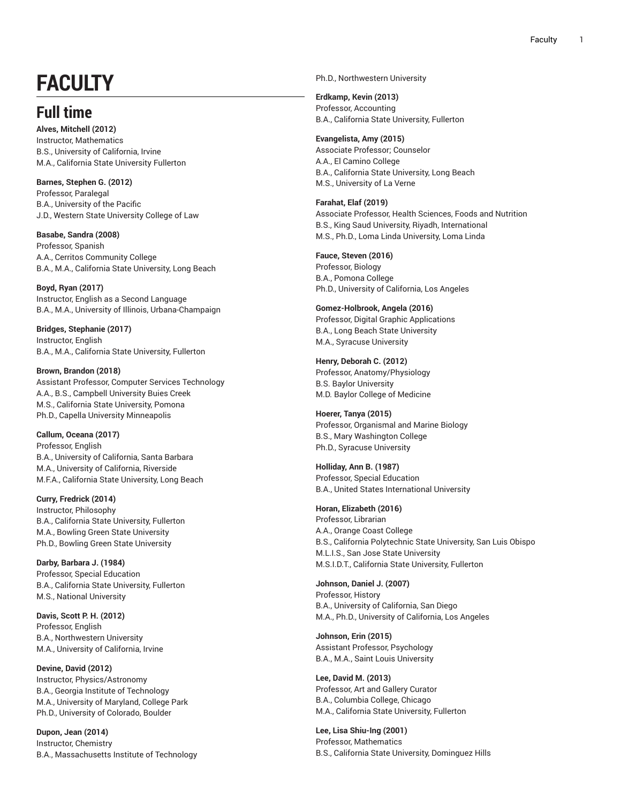## FACULTY

## **F u l l t i m e**

Alves, Mitchell (2012) Instructor, Mathematic s B.S., University of California, Irvine M.A., California State University Fullerton

**Barnes, Stephen G. (2012)** Professor, Paralegal B.A., University of the Pacifi c J.D., Western State University College of Law

**Basabe, Sandra (2008)** Professor, Spanish A.A., Cerritos Community College B.A., M.A., California State University, Long Beach

**B o y d , R y a n ( 2 0 1 7 )** Instructor, English as a Second Language B.A., M.A., University of Illinois, Urbana-Champaign ,

**Bridges, Stephanie (2017)** Instructor, English B.A., M.A., California State University, Fullerton

**Brown, Brandon (2018)** Assistant Professor, Computer Services Technology A.A., B.S., Campbell University Buies Creek M.S., California State University, Pomona Ph.D., Capella University Minneapolis

**Callum, Oceana (2017)** Professor, English B.A., University of California, Santa Barbara , M.A., University of California, Riverside , M.F.A., California State University, Long Beach

**C u r r y, F r e d r i c k ( 2 0 1 4 )** Instructor, Philosophy B.A., California State University, Fullerton M.A., Bowling Green State University Ph.D., Bowling Green State University

Darby, Barbara J. (1984) Professor, Special Education B.A., California State University, Fullerton M.S., National University

Davis, Scott P. H. (2012) Professor, English B.A., Northwestern University M.A., University of California, Irvine

Devine, David (2012) Instructor, Physics/Astronomy B.A., Georgia Institute of Technology M.A., University of Maryland, College Park , Ph.D., University of Colorado, Boulder ,

**Dupon, Jean (2014)** Instructor, Chemistr y B.A., Massachusetts Institute of Technology Ph.D., Northwestern University

**E r d k a m p , K e v i n ( 2 0 1 3 )** Professor, Accounting B.A., California State University, Fullerton

Evangelista, Amy (2015) Associate Professor; Counselor A.A., El Camino College B.A., California State University, Long Beach M.S., University of La Verne

**Farahat, Elaf (2019)** Associate Professor, Health Sciences, Foods and Nutrition , B.S., King Saud University, Riyadh, International M.S., Ph.D., Loma Linda University, Loma Linda

**Fauce, Steven (2016)** Professor, Biology B.A., Pomona College Ph.D., University of California, Los Angeles

**Gomez-Holbrook, Angela (2016)** Professor, Digital Graphic Applications B.A., Long Beach State University M.A., Syracuse University

**Henry, Deborah C. (2012)** Professor, Anatomy/Physiology B.S. Baylor University M.D. Baylor College of Medicine

**Hoerer, Tanya (2015)** Professor, Organismal and Marine Biology B.S., Mary Washington College Ph.D., Syracuse University

Holliday, Ann B. (1987) Professor, Special Education B.A., United States International University

**Horan, Elizabeth (2016)** Professor, Librarian A.A., Orange Coast College B.S., California Polytechnic State University, San Luis Obispo M.L.I.S., San Jose State University M.S.I.D.T., California State University, Fullerton

**Johnson, Daniel J. (2007)** Professor, History B.A., University of California S a n Die g o , M.A., Ph.D., University of California, Los Angeles ,

**Johnson, Erin (2015)** Assistant Professor, Psychology B.A., M.A., Saint Louis University

Lee, David M. (2013) Professor, Art and Gallery Curator B.A., Columbia College, Chicago M.A., California State University, Fullerton

**Lee, Lisa Shiu-Ing (2001)** Professor, Mathematics B.S., California State University, Dominguez Hills